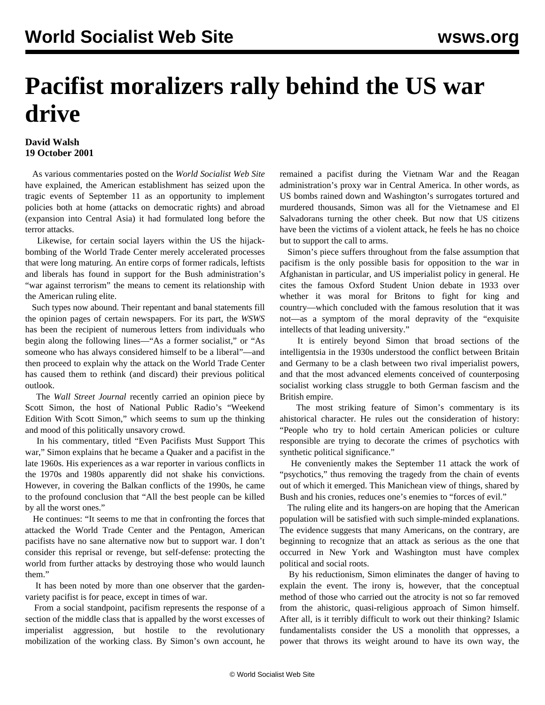## **Pacifist moralizers rally behind the US war drive**

## **David Walsh 19 October 2001**

 As various commentaries posted on the *World Socialist Web Site* have explained, the American establishment has seized upon the tragic events of September 11 as an opportunity to implement policies both at home (attacks on democratic rights) and abroad (expansion into Central Asia) it had formulated long before the terror attacks.

 Likewise, for certain social layers within the US the hijackbombing of the World Trade Center merely accelerated processes that were long maturing. An entire corps of former radicals, leftists and liberals has found in support for the Bush administration's "war against terrorism" the means to cement its relationship with the American ruling elite.

 Such types now abound. Their repentant and banal statements fill the opinion pages of certain newspapers. For its part, the *WSWS* has been the recipient of numerous letters from individuals who begin along the following lines—"As a former socialist," or "As someone who has always considered himself to be a liberal"—and then proceed to explain why the attack on the World Trade Center has caused them to rethink (and discard) their previous political outlook.

 The *Wall Street Journal* recently carried an opinion piece by Scott Simon, the host of National Public Radio's "Weekend Edition With Scott Simon," which seems to sum up the thinking and mood of this politically unsavory crowd.

 In his commentary, titled "Even Pacifists Must Support This war," Simon explains that he became a Quaker and a pacifist in the late 1960s. His experiences as a war reporter in various conflicts in the 1970s and 1980s apparently did not shake his convictions. However, in covering the Balkan conflicts of the 1990s, he came to the profound conclusion that "All the best people can be killed by all the worst ones."

 He continues: "It seems to me that in confronting the forces that attacked the World Trade Center and the Pentagon, American pacifists have no sane alternative now but to support war. I don't consider this reprisal or revenge, but self-defense: protecting the world from further attacks by destroying those who would launch them."

 It has been noted by more than one observer that the gardenvariety pacifist is for peace, except in times of war.

 From a social standpoint, pacifism represents the response of a section of the middle class that is appalled by the worst excesses of imperialist aggression, but hostile to the revolutionary mobilization of the working class. By Simon's own account, he remained a pacifist during the Vietnam War and the Reagan administration's proxy war in Central America. In other words, as US bombs rained down and Washington's surrogates tortured and murdered thousands, Simon was all for the Vietnamese and El Salvadorans turning the other cheek. But now that US citizens have been the victims of a violent attack, he feels he has no choice but to support the call to arms.

 Simon's piece suffers throughout from the false assumption that pacifism is the only possible basis for opposition to the war in Afghanistan in particular, and US imperialist policy in general. He cites the famous Oxford Student Union debate in 1933 over whether it was moral for Britons to fight for king and country—which concluded with the famous resolution that it was not—as a symptom of the moral depravity of the "exquisite intellects of that leading university."

 It is entirely beyond Simon that broad sections of the intelligentsia in the 1930s understood the conflict between Britain and Germany to be a clash between two rival imperialist powers, and that the most advanced elements conceived of counterposing socialist working class struggle to both German fascism and the British empire.

 The most striking feature of Simon's commentary is its ahistorical character. He rules out the consideration of history: "People who try to hold certain American policies or culture responsible are trying to decorate the crimes of psychotics with synthetic political significance."

 He conveniently makes the September 11 attack the work of "psychotics," thus removing the tragedy from the chain of events out of which it emerged. This Manichean view of things, shared by Bush and his cronies, reduces one's enemies to "forces of evil."

 The ruling elite and its hangers-on are hoping that the American population will be satisfied with such simple-minded explanations. The evidence suggests that many Americans, on the contrary, are beginning to recognize that an attack as serious as the one that occurred in New York and Washington must have complex political and social roots.

 By his reductionism, Simon eliminates the danger of having to explain the event. The irony is, however, that the conceptual method of those who carried out the atrocity is not so far removed from the ahistoric, quasi-religious approach of Simon himself. After all, is it terribly difficult to work out their thinking? Islamic fundamentalists consider the US a monolith that oppresses, a power that throws its weight around to have its own way, the